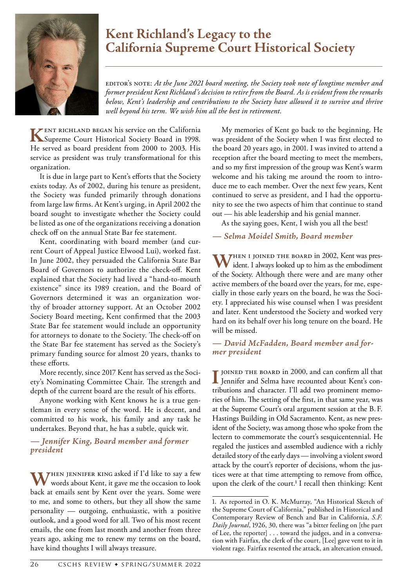

## **Kent Richland's Legacy to the California Supreme Court Historical Society**

Editor's Note: *At the June 2021 board meeting, the Society took note of longtime member and former president Kent Richland's decision to retire from the Board. As is evident from the remarks below, Kent's leadership and contributions to the Society have allowed it to survive and thrive well beyond his term. We wish him all the best in retirement.*

**K**ent Richland began his service on the California Supreme Court Historical Society Board in 1998. He served as board president from 2000 to 2003. His service as president was truly transformational for this organization.

It is due in large part to Kent's efforts that the Society exists today. As of 2002, during his tenure as president, the Society was funded primarily through donations from large law firms. At Kent's urging, in April 2002 the board sought to investigate whether the Society could be listed as one of the organizations receiving a donation check off on the annual State Bar fee statement.

Kent, coordinating with board member (and current Court of Appeal Justice Elwood Lui), worked fast. In June 2002, they persuaded the California State Bar Board of Governors to authorize the check-off. Kent explained that the Society had lived a "hand-to-mouth existence" since its 1989 creation, and the Board of Governors determined it was an organization worthy of broader attorney support. At an October 2002 Society Board meeting, Kent confirmed that the 2003 State Bar fee statement would include an opportunity for attorneys to donate to the Society. The check-off on the State Bar fee statement has served as the Society's primary funding source for almost 20 years, thanks to these efforts.

More recently, since 2017 Kent has served as the Society's Nominating Committee Chair. The strength and depth of the current board are the result of his efforts.

Anyone working with Kent knows he is a true gentleman in every sense of the word. He is decent, and committed to his work, his family and any task he undertakes. Beyond that, he has a subtle, quick wit.

## *— Jennifer King, Board member and former president*

WHEN JENNIFER KING asked if I'd like to say a few words about Kent, it gave me the occasion to look back at emails sent by Kent over the years. Some were to me, and some to others, but they all show the same personality — outgoing, enthusiastic, with a positive outlook, and a good word for all. Two of his most recent emails, the one from last month and another from three years ago, asking me to renew my terms on the board, have kind thoughts I will always treasure.

My memories of Kent go back to the beginning. He was president of the Society when I was first elected to the board 20 years ago, in 2001. I was invited to attend a reception after the board meeting to meet the members, and so my first impression of the group was Kent's warm welcome and his taking me around the room to introduce me to each member. Over the next few years, Kent continued to serve as president, and I had the opportunity to see the two aspects of him that continue to stand out — his able leadership and his genial manner.

As the saying goes, Kent, I wish you all the best!

## *— Selma Moidel Smith, Board member*

W<sup>HEN I</sup> JOINED THE BOARD in 2002, Kent was president. I always looked up to him as the embodiment of the Society. Although there were and are many other active members of the board over the years, for me, especially in those early years on the board, he was the Society. I appreciated his wise counsel when I was president and later. Kent understood the Society and worked very hard on its behalf over his long tenure on the board. He will be missed.

*— David McFadden, Board member and for- mer president*

**I** JOINED THE BOARD in 2000, and can confirm all that Jennifer and Selma have recounted about Kent's con-Jennifer and Selma have recounted about Kent's contributions and character. I'll add two prominent memories of him. The setting of the first, in that same year, was at the Supreme Court's oral argument session at the B. F. Hastings Building in Old Sacramento. Kent, as new president of the Society, was among those who spoke from the lectern to commemorate the court's sesquicentennial. He regaled the justices and assembled audience with a richly detailed story of the early days — involving a violent sword attack by the court's reporter of decisions, whom the justices were at that time attempting to remove from office, upon the clerk of the court.**<sup>1</sup>** I recall then thinking: Kent

<sup>1.</sup> As reported in O. K. McMurray, "An Historical Sketch of the Supreme Court of California," published in Historical and Contemporary Review of Bench and Bar in California, *S.F. Daily Journal*, 1926, 30, there was "a bitter feeling on [the part of Lee, the reporter] . . . toward the judges, and in a conversation with Fairfax, the clerk of the court, [Lee] gave vent to it in violent rage. Fairfax resented the attack, an altercation ensued,